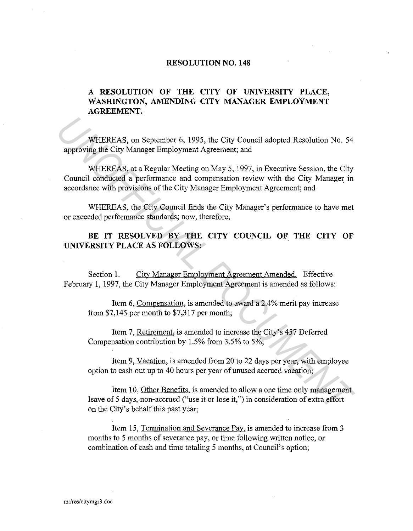## **RESOLUTION NO. 148**

## **A RESOLUTION OF THE CITY OF UNIVERSITY PLACE, WASHINGTON, AMENDING CITY MANAGER EMPLOYMENT AGREEMENT.**

WHEREAS, on September 6, 1995, the City Council adopted Resolution No. 54 approving the City Manager Employment Agreement; and

WHEREAS, at a Regular Meeting on May 5, 1997, in Executive Session, the City Council conducted a performance and compensation review with the City Manager in accordance with provisions of the City Manager Employment Agreement; and WHEREAS, on Scptember 6, 1995, the City Council adopted Resolution No. 54<br>
approving the City Manager Employment Agreement; and<br>
WHEREAS, at a Regular Mecting on May 5, 1997, in Executive Session, the City<br>
Council conduct

WHEREAS, the City Council finds the City Manager's performance to have met or exceeded performance standards; now, therefore,

BE IT RESOLVED BY THE CITY COUNCIL OF THE CITY OF **UNIVERSITY PLACE AS FOLLOWS:** 

Section 1. City Manager Employment Agreement Amended. Effective February 1, 1997, the City Manager Employment Agreement is amended as follows:

Item 6, Compensation, is amended to award a 2.4% merit pay increase from \$7,145 per month to \$7,317 per month;

Item 7, Retirement, is amended to increase the City's 457 Deferred Compensation contribution by 1.5% from 3.5% to 5%;

Item 9, Vacation, is amended from 20 to 22 days per year, with employee option to cash out up to 40 hours per year of unused accrued vacation;

Item 10, Other Benefits. is amended to allow a one time only management leave of 5 days, non-accrued ("use it or lose it,") in consideration of extra effort on the City's behalf this past year;

Item 15, Termination and Severance Pay. is amended to increase from 3 months to 5 months of severance pay, or time following written notice, or combination of cash and time totaling 5 months, at Council's option;